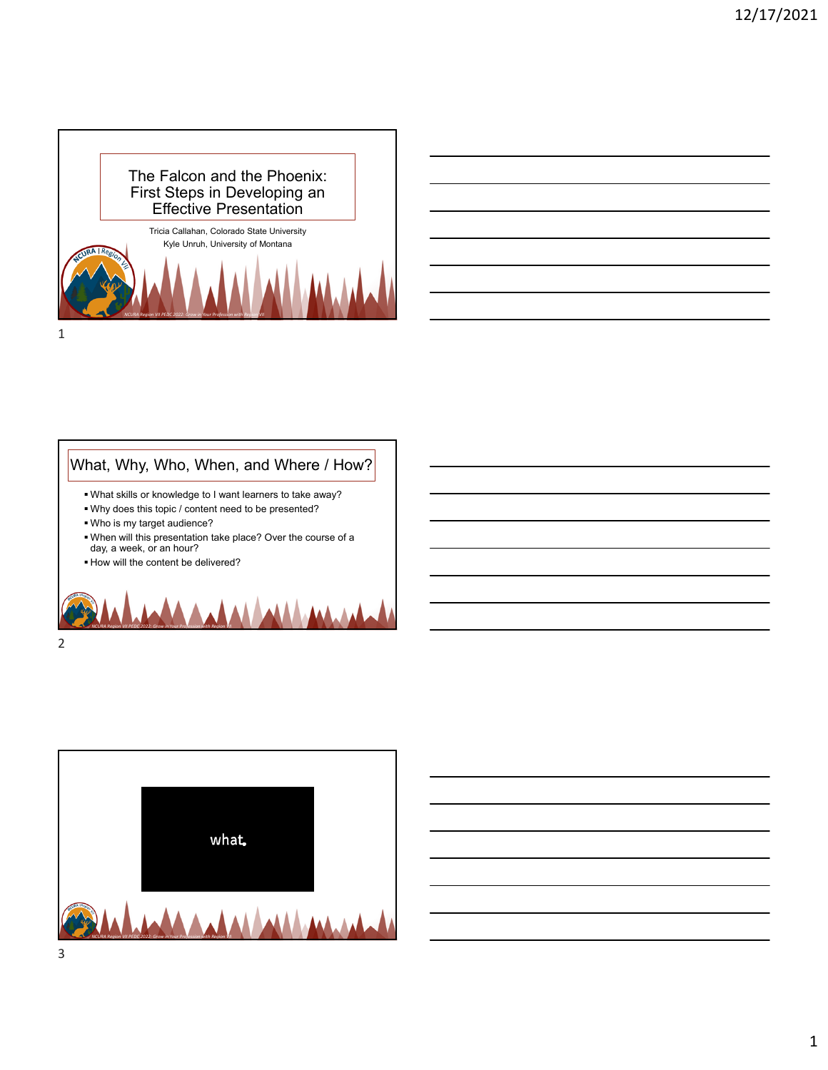



## What, Why, Who, When, and Where / How?

- What skills or knowledge to I want learners to take away?
- Why does this topic / content need to be presented?
- Who is my target audience?
- When will this presentation take place? Over the course of a day, a week, or an hour?
- How will the content be delivered?





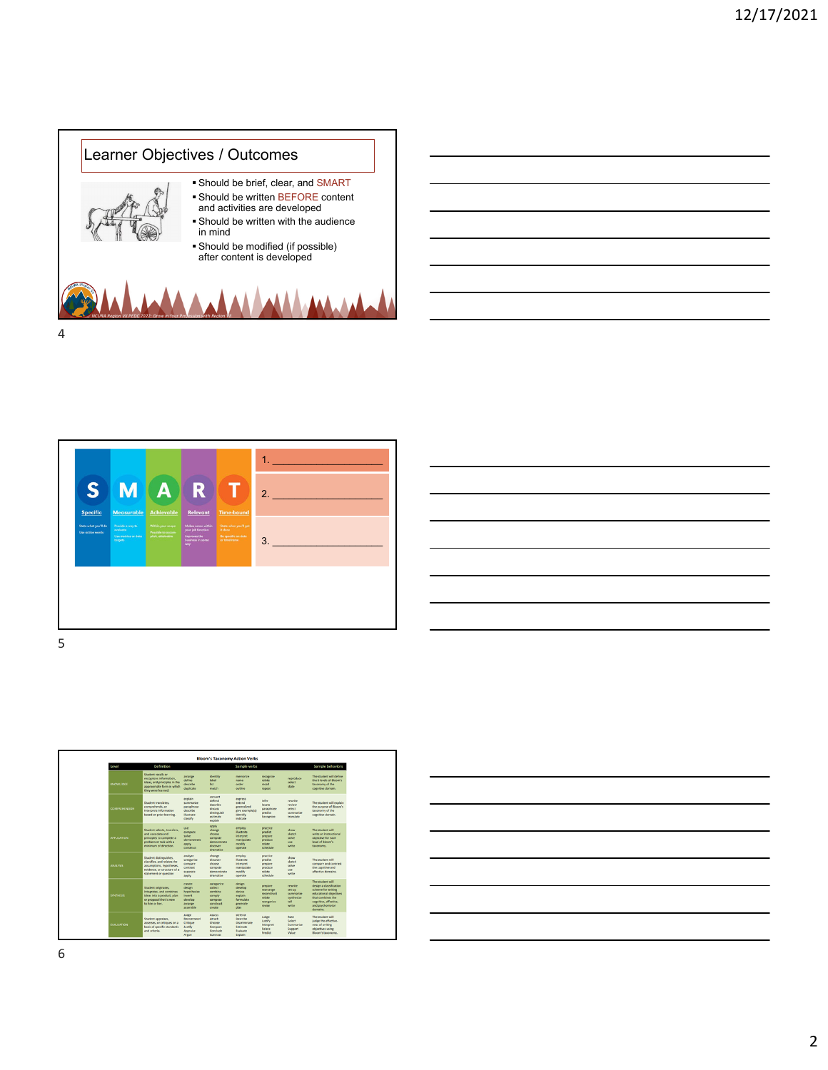







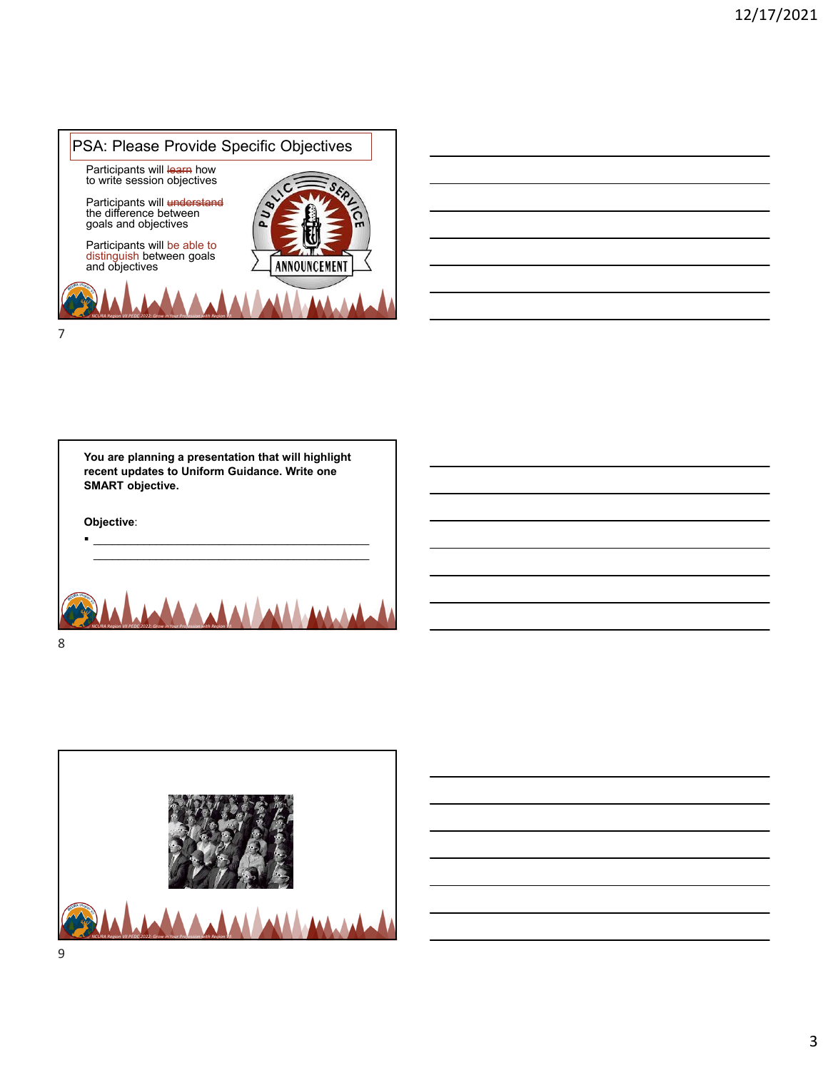

| and the contract of the contract of the contract of the contract of the contract of the contract of the contract of |  |                             |
|---------------------------------------------------------------------------------------------------------------------|--|-----------------------------|
|                                                                                                                     |  | and the control of the con- |
| and the contract of the contract of the contract of the contract of the contract of the contract of the contract of |  |                             |
|                                                                                                                     |  |                             |

|   | You are planning a presentation that will highlight<br>recent updates to Uniform Guidance. Write one<br><b>SMART</b> objective. |
|---|---------------------------------------------------------------------------------------------------------------------------------|
|   | Objective:                                                                                                                      |
|   |                                                                                                                                 |
|   | Grow                                                                                                                            |
| 8 |                                                                                                                                 |

г

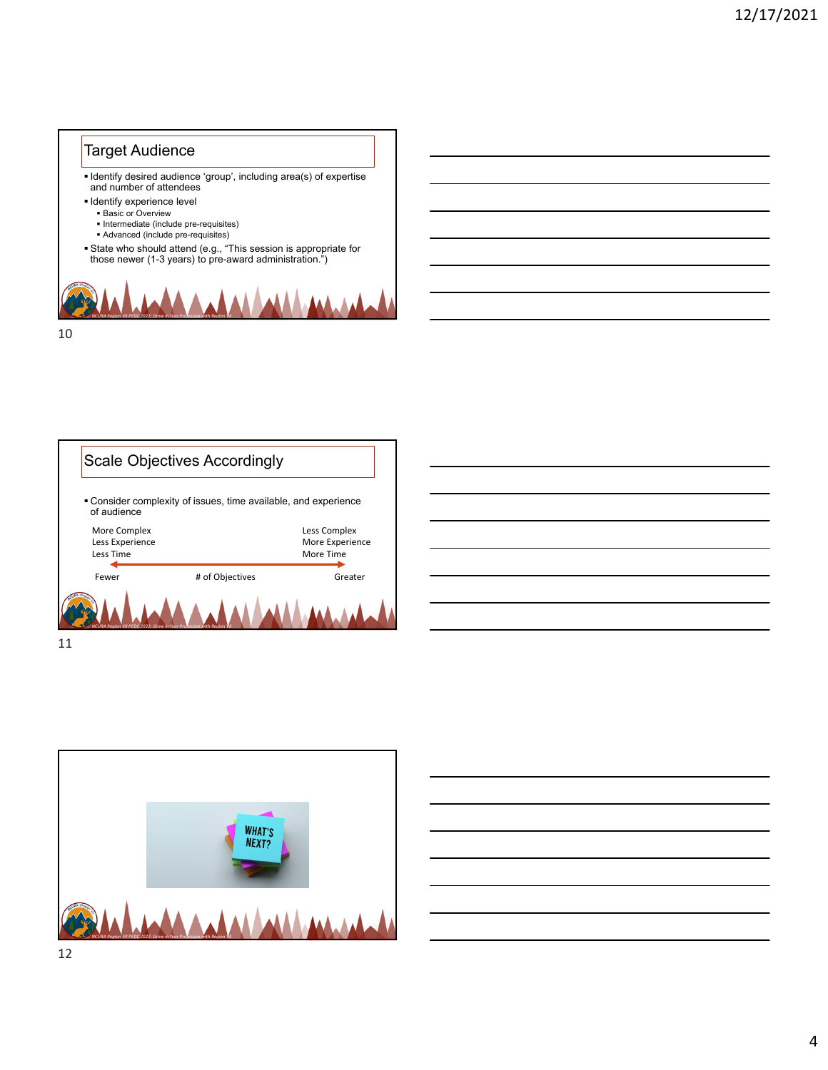## Target Audience

 Identify desired audience 'group', including area(s) of expertise and number of attendees

**Identify experience level** 

- **Basic or Overview**
- Intermediate (include pre-requisites)
- Advanced (include pre-requisites)
- State who should attend (e.g., "This session is appropriate for<br>those newer (1-3 years) to pre-award administration.")







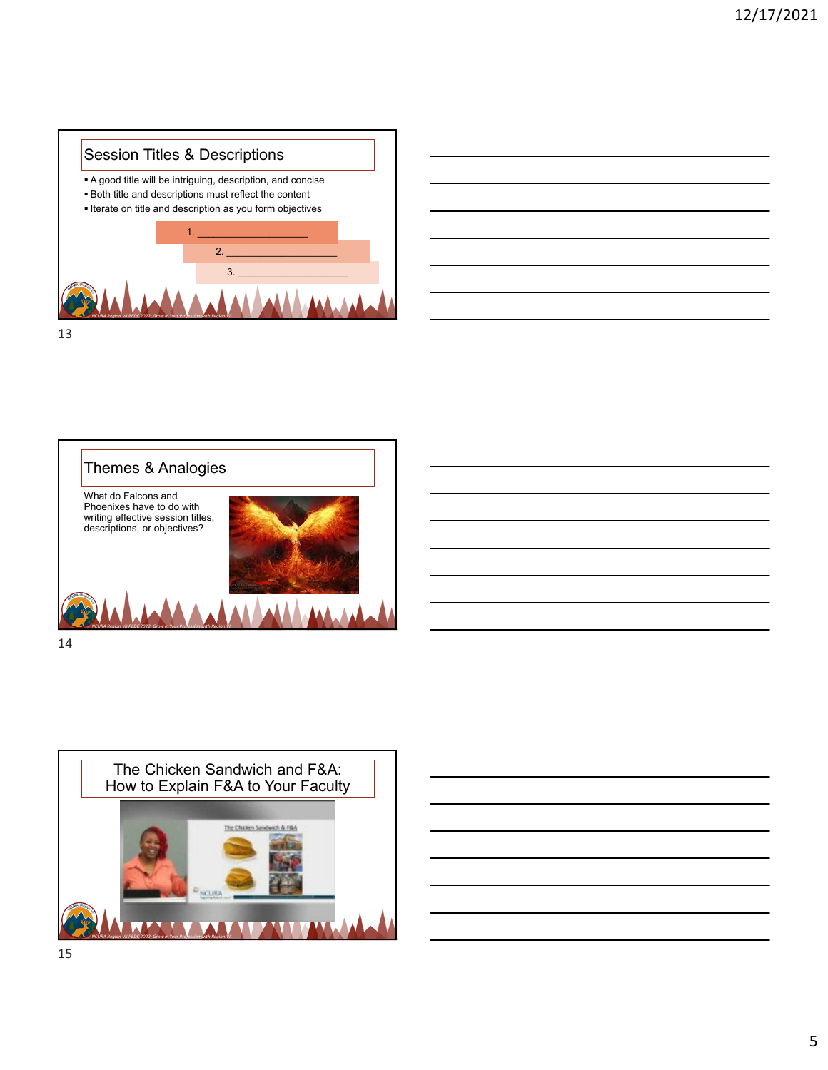

|  | $\sim$ $\sim$ |
|--|---------------|
|  |               |
|  |               |
|  |               |
|  |               |
|  | _____         |
|  |               |
|  |               |
|  |               |
|  |               |